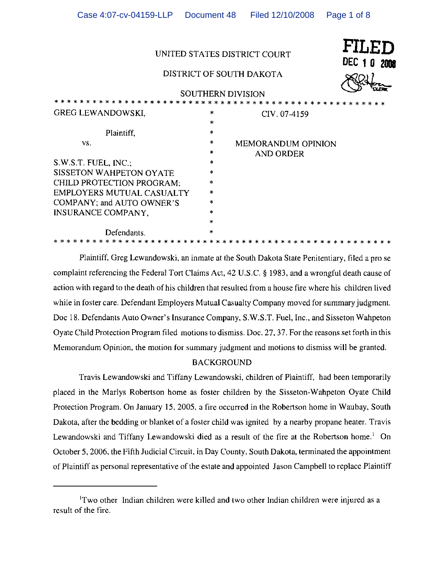|                                  |                                 | FILED<br>UNITED STATES DISTRICT COURT<br><b>DEC 1 0 2008</b><br>DISTRICT OF SOUTH DAKOTA |
|----------------------------------|---------------------------------|------------------------------------------------------------------------------------------|
|                                  |                                 | <b>SOUTHERN DIVISION</b>                                                                 |
| <b>GREG LEWANDOWSKI,</b>         | $\ast$<br>$\boldsymbol{\times}$ | CIV. 07-4159                                                                             |
| Plaintiff,                       | ×                               |                                                                                          |
| VS.                              | *<br>$\star$                    | <b>MEMORANDUM OPINION</b><br>AND ORDER                                                   |
| S.W.S.T. FUEL, INC.,             | ÷.                              |                                                                                          |
| SISSETON WAHPETON OYATE          | $\ast$                          |                                                                                          |
| CHILD PROTECTION PROGRAM:        | ×.                              |                                                                                          |
| <b>EMPLOYERS MUTUAL CASUALTY</b> | ×                               |                                                                                          |
| COMPANY; and AUTO OWNER'S        | *                               |                                                                                          |
| INSURANCE COMPANY,               | $\mathbf{a}_\mathbf{k}$         |                                                                                          |
|                                  | $\star$                         |                                                                                          |
| Defendants.                      | *                               |                                                                                          |

Case 4:07-cv-04159-LLP Document 48 Filed 12/10/2008 Page 1 of 8

Plaintiff, Greg Lewandowski. an inmate at the South Dakota Stale Penitentiary, filed a pro se complaint referencing the Federal Tort Claims Act, 42 U.S.C. § 1983, and a wrongful death cause of action with regard to the death of his children that resulted from a house fire where his children lived while in foster care. Defendant Employers Mutual Casualty Company moved for summary judgment. Doc 18. Defendants Auto Owner's Insurance Company, S.W.S.T. Fuel, Inc., and Sisseton Wahpeton Oyate Child Protection Program filed motions to dismiss. Doc. 27, 37. For the reasons set forth in this Memorandum Opinion, the motion for summary judgment and motions to dismiss will be granted.

# BACKGROUND

Travis Lewandowski and Tiffany Lewandowski, children of Plaintiff. had been temporarily placed in the Marlys Robertson home as foster children by the Sisseton-Wahpeton Oyate Child Protection Program. On January 15.2005, a fire occurred in the Robertson home in Waubay, South Dakota, after the bedding or blanket of a foster child was ignited by a nearby propane heater. Travis Lewandowski and Tiffany Lewandowski died as a result of the fire at the Robertson home.<sup>1</sup> On October 5, 2006. the Fifth Judicial Circuit, in Day County. South Dakota, terminated the appointment of Plaintiff as personal representative of the estate and appointed Jason Campbell to replace Plaintiff

<sup>&</sup>lt;sup>1</sup>Two other Indian children were killed and two other Indian children were injured as a result of the fire.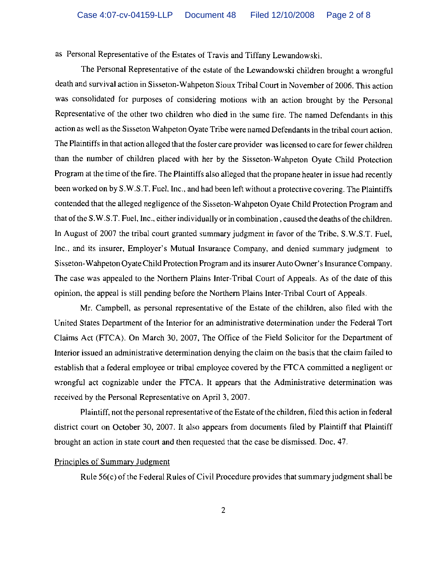as Personal Representative of the Estates of Travis and Tiffany Lewandowski.

The Personal Representative of the estate of the Lewandowski children brought a wrongful death and survival action in Sisseton-Wahpeton Sioux Tribal Court in November of 2006. This action was consolidated for purposes of considering motions with an action brought by the Personal Representative of the other two children who died in the same fire. The named Defendants in this action as well as the Sisseton Wahpeton Oyate Tribe were named Defendants in the tribal court action. The Plaintiffs in that action alleged that the foster care provider was licensed to care for fewer children than the number of children placed with her by the Sisseton-Wahpeton Oyate Child Protection Program at the time of the fire. The Plaintiffs also alleged that the propane heater in issue had recently been worked on by S.W.ST. Fuel. Inc., and had been left without a protective covering. The Plaintiffs contended that the alleged negligence of the Sisseton-Wahpeton Oyate Child Protection Program and that of the S.W.S.T. Fuel, Inc., either individually or in combination, caused the deaths of the children. In August of 2007 the tribal court granted summary judgment in favor of the Tribe, S.W.S.T. Fuel, Inc., and its insurer, Employer's Mutual Insurance Company, and denied summary judgment to Sisseton-Wahpeton OyateChild Protection Program and its insurer Auto Owner's Insurance Company. The case was appealed to the Northern Plains Inter-Tribal Court of Appeals. As of the date of this opinion, the appeal is still pending before the Northern Plains Inter-Tribal Court of Appeals.

Mr. Campbell, as personal representative of the Estate of the children, also filed with the United States Department of the Interior for an administrative determination under the Federal Tort Claims Act (FTCA). On March 30, 2007, The Office of the Field Solicitor for the Department of Interior issued an administrative determination denying the claim on the basis that the claim failed to establish that a federal employee or tribal employee covered by the FICA committed a negligent or wrongful act cognizable under the FICA. It appears that the Administrative determination was received by the Personal Representative on April 3, 2007.

Plaintiff, not the personal representative of the Estate of the children, filed this action in federal district court on October 30, 2007. It also appears from documents filed by Plaintiff that Plaintiff brought an action in state court and then requested that the case be dismissed. Doc. 47.

### Principles of Summary judgment

Rule 56(c) of the Federal Rules of Civil Procedure provides that summary judgment shall be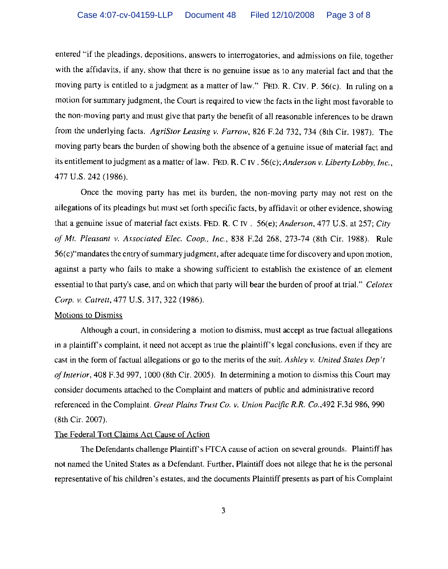entered "if the pleadings, depositions, answers to interrogatories, and admissions on file, together with the affidavits, if any, show that there is no genuine issue as to any material fact and that the moving party is entitled to a judgment as a matter of law." FED. R. CIV. P. 56(c). In ruling on a motion for summary judgment, the Court is required to view the facts in the light most favorable to the non-moving party and must give that party the benefit of all reasonable inferences to be drawn from the underlying facts. *AgriStor Leasing v. Farrow,* 826 F.2d 732, 734 (8th Cir. 1987). The moving party bears the burden of showing both the absence of a genuine issue of material fact and its entitlement to judgment as a matter of law. FED. R. C IV . 56(c); *Anderson v. Liberty Lobby, Inc.,*  477 U.S. 242 (1986).

Once the moving party has met its burden, the non-moving party may not rest on the allegations of its pleadings but must set forth specific facts, by affidavit or other evidence, showing that a genuine issue of material fact exists. FED. R. C IV. 56(e); *Anderson,* 477 U.S. at 257; *City of Mt. Pleasant v. Associated Elec. Coop., Inc.,* 838 F.2d 268, 273-74 (8th Cir. 1988). Rule  $56(c)$ "mandates the entry of summary judgment, after adequate time for discovery and upon motion, against a party who fails to make a showing sufficient to establish the existence of an element essential to that party's case, and on which that party will bear the burden of proof at trial." *Celotex Corp. v. Catrett,* 477 U.S. 317,322 (1986).

#### Motions to Dismiss

Although a court, in considering a motion to dismiss, must accept as true factual allegations in a plaintiff's complaint, it need not accept as true the plaintiff's legal conclusions, even if they are cast in the form of factual allegations or go to the merits of the suit. *Ashley v. United States Dep't ofInterior,* 408 F.3d 997, 1000 (8th Cir. 2005). In determining a motion to dismiss this Court may consider documents attached to the Complaint and matters of public and administrative record referenced in the Complaint. *Great Plains Trust Co. v. Union Pacific R.R. Co.,492* F.3d 986,990 (8th Cir. 2007).

## The Federal Tort Claims Act Cause of Action

The Defendants challenge Plaintiff's FTCA cause of action on several grounds. Plaintiff has not named the United States as a Defendant. Further, Plaintiff does not allege that he is the personal representative of his children's estates, and the documents Plaintiff presents as part of his Complaint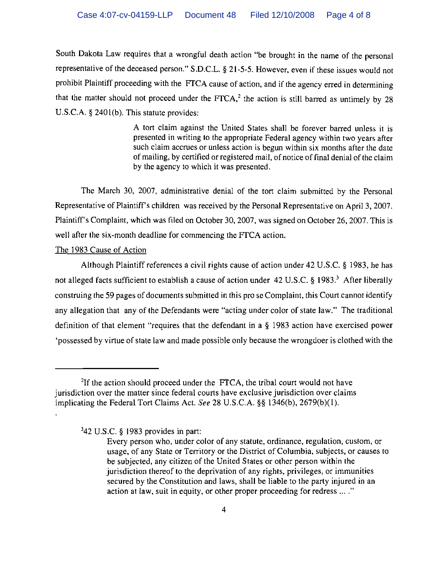South Dakota Law requires that a wrongful death action "be brought in the name of the personal representative of the deceased person." S.D.C.L. § 21-5-5. However, even if these issues would not prohibit Plaintiff proceeding with the FTCA cause of action, and if the agency erred in determining that the matter should not proceed under the FTCA,<sup>2</sup> the action is still barred as untimely by 28 U.S.C.A. § 2401(b). This statute provides:

> A tort claim against the United States shall be forever barred unless it is presented in writing to the appropriate Federal agency within two years after such claim accrues or unless action is begun within six months after the date of mailing, by certified or registered mail, of notice of final denial of the claim by the agency to which it was presented.

The March 30, 2007, administrative denial of the tort claim submitted by the Personal Representative of Plaintiff's children was received by the Personal Representative on April 3, 2007. Plaintiff's Complaint, which was filed on October 30, 2007, was signed on October 26. 2007. This is well after the six-month deadline for commencing the FTCA action.

### The 1983 Cause of Action

Although Plaintiff references a civil rights cause of action under 42 U.S.C. § 1983, he has not alleged facts sufficient to establish a cause of action under 42 U.S.C. § 1983.<sup>3</sup> After liberally construing the 59 pages of documents submitted in this pro se Complaint, this Court cannot identify any allegation that any of the Defendants were "acting under color of state law." The traditional definition of that element "requires that the defendant in a § 1983 action have exercised power 'possessed by virtue of state law and made possible only because the wrongdoer is clothed with the

'42 U.S.C. § 1983 provides in part:

<sup>&</sup>lt;sup>2</sup>If the action should proceed under the FTCA, the tribal court would not have jurisdiction over the matter since federal courts have exclusive jurisdiction over claims implicating the Federal Tort Claims Act. *See* 28 U.S.c.A. §§ 1346(b), 2679(b)(l).

Every person who, under color of any statute, ordinance, regulation, custom, or usage, of any State or Territory or the District of Columbia, subjects, or causes to be subjected, any citizen of the United States or other person within the jurisdiction thereof to the deprivation of any rights, privileges, or immunities secured by the Constitution and laws, shall be liable to the party injured in an action at law, suit in equity, or other proper proceeding for redress ...."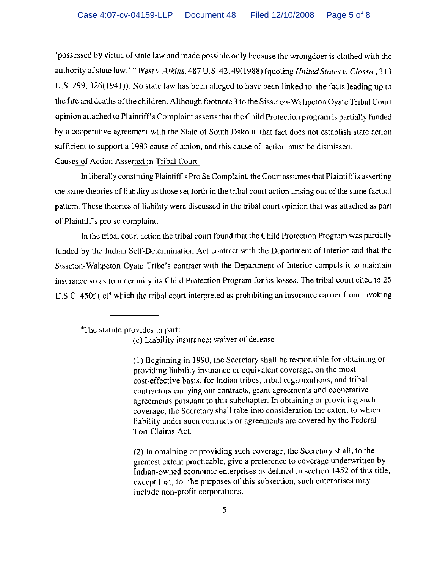'possessed by virtue of state law and made possible only because the wrongdoer is clothed with the authority of state law.' " *West v. Atkins,* 487 *V.S.* 42, 49(1988) (quoting *United States v. Classic, 313*  U.S. 299. 326(1941)). No state law has been alleged to have been linked to the facts leading up to the fire and deaths of the children. Although footnote 3 to the Sisseton-Wahpeton Oyate Tribal Court opinion attached to Plaintiff s Complaint asserts that the Child Protection program is partially funded by a cooperative agreement with the State of South Dakota, that fact does not establish state action sufficient to support a 1983 cause of action, and this cause of action must be dismissed.

Causes of Action Asserted in Tribal Court

**In** liberally construing Plaintiff's Pro SeComplaint, the Court assumes that Plaintiff is asserting the same theories of liability as those set forth in the tribal court action arising out of the same factual pattern. These theories of liability were discussed in the tribal court opinion that was attached as part of Plaintiff's pro se complaint.

**In** the tribal court action the tribal court found that the Child Protection Program was partially funded by the Indian Self-Determination Act contract with the Department of Interior and that the Sisseton-Wahpeton Oyate Tribe's contract with the Department of Interior compels it to maintain insurance so as to indemnify its Child Protection Program for its losses. The tribal court cited to 25 *V.S.c.* 450f ( c)' which the tribal court interpreted as prohibiting an insurance carrier from invoking

'The statute provides in part:

(c) Liability insurance; waiver of defense

(I) Beginning in 1990, the Secretary shall be responsible for obtaining or providing liability insurance or equivalent coverage, on the most cost-effective basis, for Indian tribes, tribal organizations, and tribal contractors carrying out contracts. grant agreements and cooperative agreements pursuant to this subchapter. **In** obtaining or providing such coverage. the Secretary shall take into consideration the extent to which liability under such contracts or agreements are covered by the Federal Tort Claims Act.

(2) **In** obtaining or providing such coverage, the Secretary shall, to the greatest extent practicable, give a preference to coverage underwritten by Indian-owned economic enterprises as defined in section 1452 of this title. except that, for the purposes of this subsection, such enterprises may include non-profit corporations.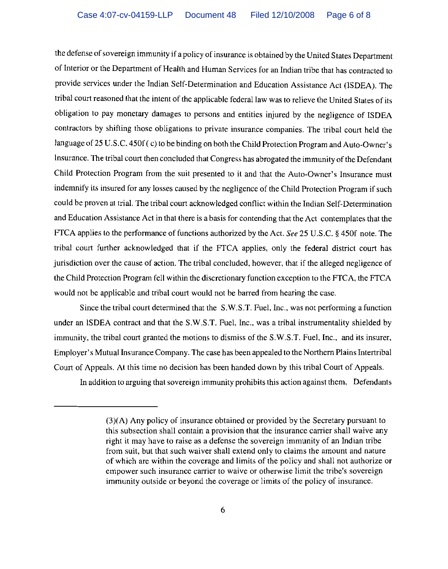the defense of sovereign immunity if a policy of insurance is obtained by the United States Department of Interior or the Department of Health and Human Services for an Indian tribe that has contracted to provide services under the Indian Self-Determination and Education Assistance Act (ISDEA). The tribal court reasoned that the intent of the applicable federal law was to relieve the United States of its obligation to pay monetary damages to persons and entities injured by the negligence of ISDEA contractors by shifting those obligations to private insurance companies. The tribal court held the language of 25 U.S.C. 450f ( c) to be binding on both the Child Protection Program and Auto-Owner's Insurance. The tribal court then concluded that Congress has abrogated the immunity of the Defendant Child Protection Program from the suit presented to it and that the Auto-Owner's Insurance must indemnify its insured for any losses caused by the negligence of the Child Protection Program if such could be proven at trial. The tribal court acknowledged conflict within the Indian Self-Determination and Education Assistance Act in that there is a basis for contending that the Act contemplates that the FTCA applies to the performance of functions authorized by the Act. *See* 25 U.S.C. § 450f note. The tribal court further acknowledged that if the FTCA applies, only the federal district court has jurisdiction over the cause of action. The tribal concluded, however, that if the alleged negligence of the Child Protection Program fell within the discretionary function exception to the FTCA, the FTCA would not be applicable and tribal court would not be barred from hearing the case.

Since the tribal court determined that the S.W.S.T. Fuel, Inc., was not performing a function under an lSDEA contract and that the S.W.S.T. Fuel, Inc., was a tribal instrumentality shielded by immunity, the tribal court granted the motions to dismiss of the S.W.S.T. Fuel, Inc., and its insurer, Employer's Mutual Insurance Company. The case has been appealed to the Northern Plains Intertribal Court of Appeals. At this time no decision has been handed down by this tribal Court of Appeals.

In addition to arguing that sovereign immunity prohibits this action against them, Defendants

<sup>(3)(</sup>A) Any policy of insurance obtained or provided by the Secretary pursuant to this subsection shall contain a provision that the insurance carrier shall waive any right it may have to raise as a defense the sovereign immunity of an Indian tribe from suit, but that such waiver shall extend only to claims the amount and nature of which are within the coverage and limits of the policy and shall not authorize or empower such insurance carrier to waive or otherwise limit the tribe's sovereign immunity outside or beyond the coverage or limits of the policy of insurance.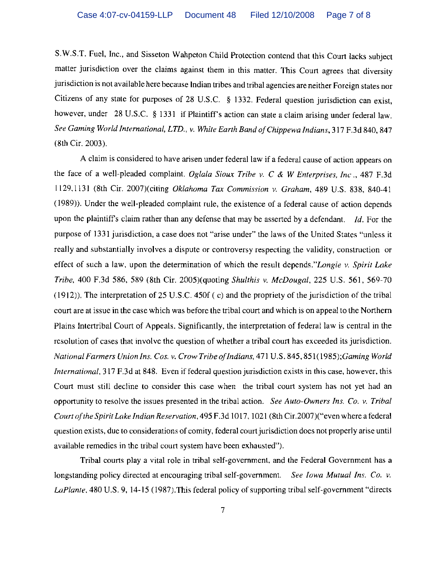S. W.S.T. Fuel, Inc., and Sisseton Wahpeton Child Protection contend that this Court lacks subject matter jurisdiction over the claims against them in this matter. This Court agrees that diversity jurisdiction is not available here because Indian tribes and tribal agencies are neither Foreign states nor Citizens of any state for purposes of 28 U.S.c. § 1332. Federal question jurisdiction can exist, however, under 28 U.S.C. § 1331 if Plaintiff's action can state a claim arising under federal law. *See Gaming World International, LTD., v. White Earth Band ojChippewa Indians,* 317 F.3d 840, 847 (8th Cir. 2003).

A claim is considered to have arisen under federal law if a federal cause of action appears on the face of a well-pleaded complaint. *Oglala Sioux Tribe v.* C & *W Enterprises, Inc.,* 487 F.3d 1129,1131 (8th Cir. 2007)(citing *Oklahoma Tax Commission v. Graham,* 489 U.S. 838, 840-41 (1989)). Under the well-pleaded complaint rule, the existence of a federal cause of action depends upon the plaintiffs claim rather than any defense that may be asserted by a defendant. *Id.* For the purpose of 1331 jurisdiction, a case does not "arise under" the laws of the United States "unless it really and substantially involves a dispute or controversy respecting the validity, construction or effect of such a law, upon the determination of which the result depends."Longie *v. Spirit Lake Tribe,* 400 F.3d 586, 589 (8th Cir. 2005)(quoting *Shulthis v. McDougal,* 225 U.S. 561, 569-70 (1912». The interpretation of 25 U.S.c. 450f (c) and the propriety of the jurisdiction of the tribal court are at issue in the case which was before the tribal court and which is on appeal to the Northern Plains Intertribal Court of Appeals. Significantly, the interpretation of federal law is central in the resolution of cases that involve the question of whether a tribal court has exceeded its jurisdiction. *National Farmers Union Ins. Cos. v. Crow Tribe ofIndians,* 471 U.S. 845, 851( *1985);Gaming World International,* 317 F.3d at 848. Even if federal question jurisdiction exists in this case, however, this Court must still decline to consider this case when the tribal court system has not yet had an opportunity to resolve the issues presented in the tribal action. *See Auto-Owners Ins. Co. v. Tribal Court ojthe Spirit Lake Indian Reservation,* 495 F.3d 1017, 1021 (8th Cir.2007)("even where a federal question exists, due to considerations of comity, federal court jurisdiction does not properly arise until available remedies in the tribal court system have been exhausted").

Tribal courts playa vital role in tribal self-government, and the Federal Government has a longstanding policy directed at encouraging tribal self-government. *See Iowa Mutual Ins. Co. v. LaPlante.* 480 U.S. 9, 14-15 (1987).This federal policy of supporting tribal self-government "directs